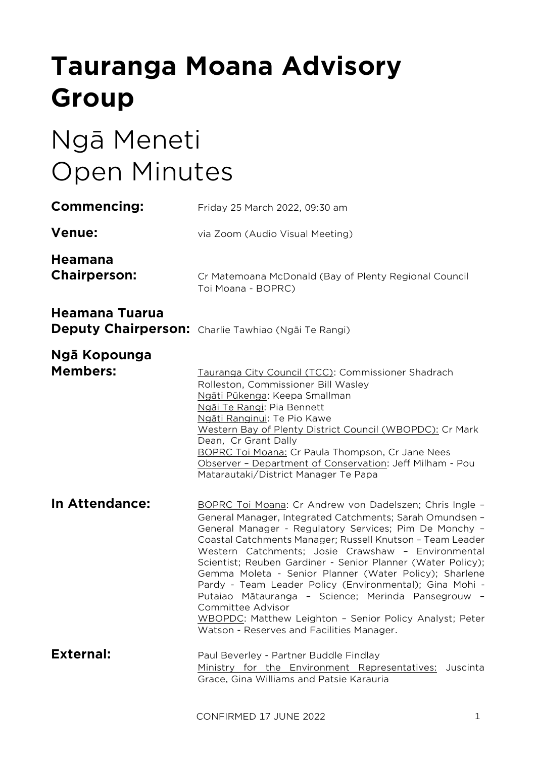# **Tauranga Moana Advisory Group**

# Ngā Meneti Open Minutes

| <b>Commencing:</b>                    | Friday 25 March 2022, 09:30 am                                                                                                                                                                                                                                                                                                                                                                                                                                                                                                                                                                                                                                          |
|---------------------------------------|-------------------------------------------------------------------------------------------------------------------------------------------------------------------------------------------------------------------------------------------------------------------------------------------------------------------------------------------------------------------------------------------------------------------------------------------------------------------------------------------------------------------------------------------------------------------------------------------------------------------------------------------------------------------------|
| <b>Venue:</b>                         | via Zoom (Audio Visual Meeting)                                                                                                                                                                                                                                                                                                                                                                                                                                                                                                                                                                                                                                         |
| <b>Heamana</b><br><b>Chairperson:</b> | Cr Matemoana McDonald (Bay of Plenty Regional Council<br>Toi Moana - BOPRC)                                                                                                                                                                                                                                                                                                                                                                                                                                                                                                                                                                                             |
| Heamana Tuarua                        | Deputy Chairperson: Charlie Tawhiao (Ngāi Te Rangi)                                                                                                                                                                                                                                                                                                                                                                                                                                                                                                                                                                                                                     |
| Ngā Kopounga<br><b>Members:</b>       | Tauranga City Council (TCC): Commissioner Shadrach<br>Rolleston, Commissioner Bill Wasley<br>Ngāti Pūkenga: Keepa Smallman<br>Ngāi Te Rangi: Pia Bennett<br>Ngāti Ranginui: Te Pio Kawe<br>Western Bay of Plenty District Council (WBOPDC): Cr Mark<br>Dean, Cr Grant Dally<br>BOPRC Toi Moana: Cr Paula Thompson, Cr Jane Nees<br>Observer - Department of Conservation: Jeff Milham - Pou<br>Matarautaki/District Manager Te Papa                                                                                                                                                                                                                                     |
| In Attendance:                        | BOPRC Toi Moana: Cr Andrew von Dadelszen; Chris Ingle -<br>General Manager, Integrated Catchments; Sarah Omundsen -<br>General Manager - Regulatory Services; Pim De Monchy -<br>Coastal Catchments Manager; Russell Knutson - Team Leader<br>Western Catchments; Josie Crawshaw - Environmental<br>Scientist; Reuben Gardiner - Senior Planner (Water Policy);<br>Gemma Moleta - Senior Planner (Water Policy); Sharlene<br>Pardy - Team Leader Policy (Environmental); Gina Mohi -<br>Putaiao Mātauranga - Science; Merinda Pansegrouw -<br>Committee Advisor<br>WBOPDC: Matthew Leighton - Senior Policy Analyst; Peter<br>Watson - Reserves and Facilities Manager. |
| <b>External:</b>                      | Paul Beverley - Partner Buddle Findlay<br>Ministry for the Environment Representatives: Juscinta<br>Grace, Gina Williams and Patsie Karauria                                                                                                                                                                                                                                                                                                                                                                                                                                                                                                                            |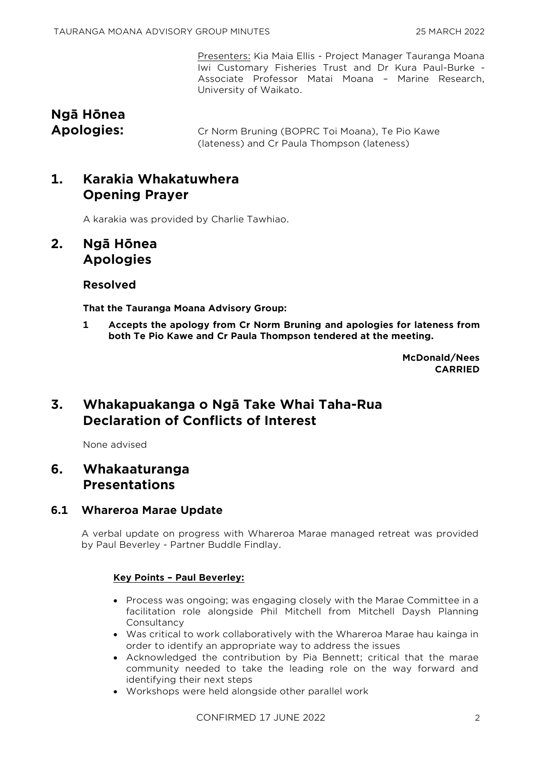Presenters: Kia Maia Ellis - Project Manager Tauranga Moana Iwi Customary Fisheries Trust and Dr Kura Paul-Burke - Associate Professor Matai Moana – Marine Research, University of Waikato.

# **Ngā Hōnea**

**Apologies:** Cr Norm Bruning (BOPRC Toi Moana), Te Pio Kawe (lateness) and Cr Paula Thompson (lateness)

# **1. Karakia Whakatuwhera Opening Prayer**

A karakia was provided by Charlie Tawhiao.

# **2. Ngā Hōnea Apologies**

# **Resolved**

**That the Tauranga Moana Advisory Group:**

**1 Accepts the apology from Cr Norm Bruning and apologies for lateness from both Te Pio Kawe and Cr Paula Thompson tendered at the meeting.**

> **McDonald/Nees CARRIED**

# **3. Whakapuakanga o Ngā Take Whai Taha-Rua Declaration of Conflicts of Interest**

None advised

# **6. Whakaaturanga Presentations**

# **6.1 Whareroa Marae Update**

A verbal update on progress with Whareroa Marae managed retreat was provided by Paul Beverley - Partner Buddle Findlay.

## **Key Points – Paul Beverley:**

- Process was ongoing; was engaging closely with the Marae Committee in a facilitation role alongside Phil Mitchell from Mitchell Daysh Planning **Consultancy**
- Was critical to work collaboratively with the Whareroa Marae hau kainga in order to identify an appropriate way to address the issues
- Acknowledged the contribution by Pia Bennett; critical that the marae community needed to take the leading role on the way forward and identifying their next steps
- Workshops were held alongside other parallel work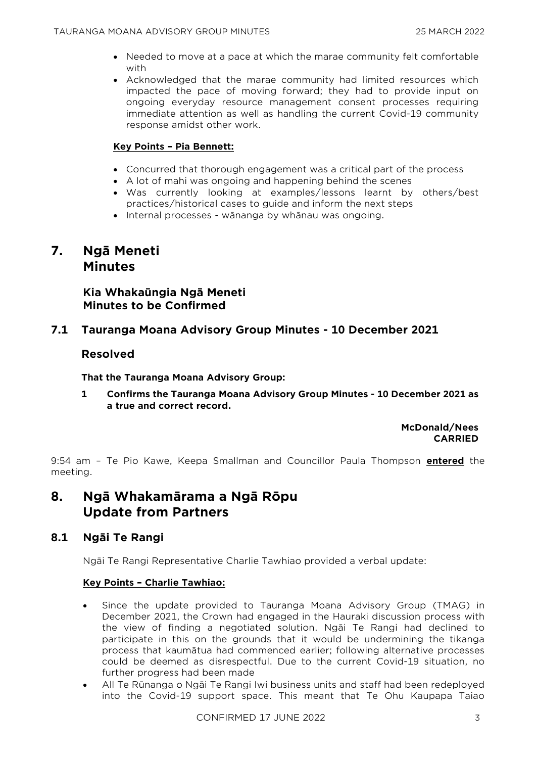- Needed to move at a pace at which the marae community felt comfortable with
- Acknowledged that the marae community had limited resources which impacted the pace of moving forward; they had to provide input on ongoing everyday resource management consent processes requiring immediate attention as well as handling the current Covid-19 community response amidst other work.

## **Key Points – Pia Bennett:**

- Concurred that thorough engagement was a critical part of the process
- A lot of mahi was ongoing and happening behind the scenes
- Was currently looking at examples/lessons learnt by others/best practices/historical cases to guide and inform the next steps
- Internal processes wānanga by whānau was ongoing.

# **7. Ngā Meneti Minutes**

**Kia Whakaūngia Ngā Meneti Minutes to be Confirmed**

## **7.1 Tauranga Moana Advisory Group Minutes - 10 December 2021**

## **Resolved**

**That the Tauranga Moana Advisory Group:**

**1 Confirms the Tauranga Moana Advisory Group Minutes - 10 December 2021 as a true and correct record.**

> **McDonald/Nees CARRIED**

9:54 am – Te Pio Kawe, Keepa Smallman and Councillor Paula Thompson **entered** the meeting.

# **8. Ngā Whakamārama a Ngā Rōpu Update from Partners**

# **8.1 Ngāi Te Rangi**

Ngāi Te Rangi Representative Charlie Tawhiao provided a verbal update:

## **Key Points – Charlie Tawhiao:**

- Since the update provided to Tauranga Moana Advisory Group (TMAG) in December 2021, the Crown had engaged in the Hauraki discussion process with the view of finding a negotiated solution. Ngāi Te Rangi had declined to participate in this on the grounds that it would be undermining the tikanga process that kaumātua had commenced earlier; following alternative processes could be deemed as disrespectful. Due to the current Covid-19 situation, no further progress had been made
- All Te Rūnanga o Ngāi Te Rangi Iwi business units and staff had been redeployed into the Covid-19 support space. This meant that Te Ohu Kaupapa Taiao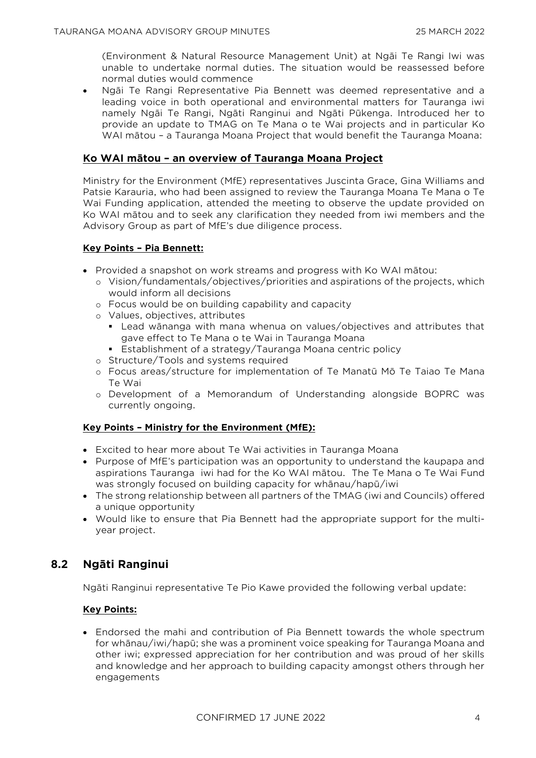(Environment & Natural Resource Management Unit) at Ngāi Te Rangi Iwi was unable to undertake normal duties. The situation would be reassessed before normal duties would commence

• Ngāi Te Rangi Representative Pia Bennett was deemed representative and a leading voice in both operational and environmental matters for Tauranga iwi namely Ngāi Te Rangi, Ngāti Ranginui and Ngāti Pūkenga. Introduced her to provide an update to TMAG on Te Mana o te Wai projects and in particular Ko WAI mātou – a Tauranga Moana Project that would benefit the Tauranga Moana:

#### **Ko WAI mātou – an overview of Tauranga Moana Project**

Ministry for the Environment (MfE) representatives Juscinta Grace, Gina Williams and Patsie Karauria, who had been assigned to review the Tauranga Moana Te Mana o Te Wai Funding application, attended the meeting to observe the update provided on Ko WAI mātou and to seek any clarification they needed from iwi members and the Advisory Group as part of MfE's due diligence process.

#### **Key Points – Pia Bennett:**

- Provided a snapshot on work streams and progress with Ko WAI mātou:
	- o Vision/fundamentals/objectives/priorities and aspirations of the projects, which would inform all decisions
	- o Focus would be on building capability and capacity
	- o Values, objectives, attributes
		- Lead wānanga with mana whenua on values/objectives and attributes that gave effect to Te Mana o te Wai in Tauranga Moana
		- **Establishment of a strategy/Tauranga Moana centric policy**
	- o Structure/Tools and systems required
	- o Focus areas/structure for implementation of Te Manatū Mō Te Taiao Te Mana Te Wai
	- o Development of a Memorandum of Understanding alongside BOPRC was currently ongoing.

#### **Key Points – Ministry for the Environment (MfE):**

- Excited to hear more about Te Wai activities in Tauranga Moana
- Purpose of MfE's participation was an opportunity to understand the kaupapa and aspirations Tauranga iwi had for the Ko WAI mātou. The Te Mana o Te Wai Fund was strongly focused on building capacity for whānau/hapū/iwi
- The strong relationship between all partners of the TMAG (iwi and Councils) offered a unique opportunity
- Would like to ensure that Pia Bennett had the appropriate support for the multiyear project.

# **8.2 Ngāti Ranginui**

Ngāti Ranginui representative Te Pio Kawe provided the following verbal update:

## **Key Points:**

• Endorsed the mahi and contribution of Pia Bennett towards the whole spectrum for whānau/iwi/hapū; she was a prominent voice speaking for Tauranga Moana and other iwi; expressed appreciation for her contribution and was proud of her skills and knowledge and her approach to building capacity amongst others through her engagements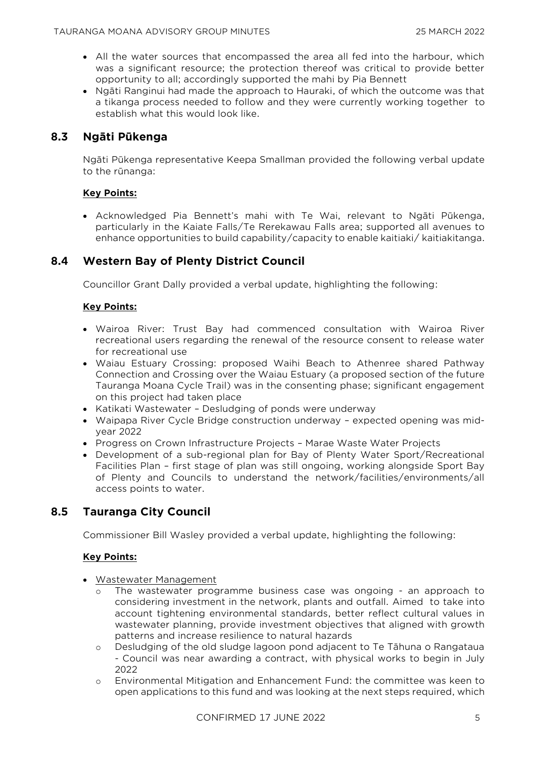- All the water sources that encompassed the area all fed into the harbour, which was a significant resource; the protection thereof was critical to provide better opportunity to all; accordingly supported the mahi by Pia Bennett
- Ngāti Ranginui had made the approach to Hauraki, of which the outcome was that a tikanga process needed to follow and they were currently working together to establish what this would look like.

# **8.3 Ngāti Pūkenga**

Ngāti Pūkenga representative Keepa Smallman provided the following verbal update to the rūnanga:

#### **Key Points:**

• Acknowledged Pia Bennett's mahi with Te Wai, relevant to Ngāti Pūkenga, particularly in the Kaiate Falls/Te Rerekawau Falls area; supported all avenues to enhance opportunities to build capability/capacity to enable kaitiaki/ kaitiakitanga.

# **8.4 Western Bay of Plenty District Council**

Councillor Grant Dally provided a verbal update, highlighting the following:

## **Key Points:**

- Wairoa River: Trust Bay had commenced consultation with Wairoa River recreational users regarding the renewal of the resource consent to release water for recreational use
- Waiau Estuary Crossing: proposed Waihi Beach to Athenree shared Pathway Connection and Crossing over the Waiau Estuary (a proposed section of the future Tauranga Moana Cycle Trail) was in the consenting phase; significant engagement on this project had taken place
- Katikati Wastewater Desludging of ponds were underway
- Waipapa River Cycle Bridge construction underway expected opening was midyear 2022
- Progress on Crown Infrastructure Projects Marae Waste Water Projects
- Development of a sub-regional plan for Bay of Plenty Water Sport/Recreational Facilities Plan – first stage of plan was still ongoing, working alongside Sport Bay of Plenty and Councils to understand the network/facilities/environments/all access points to water.

# **8.5 Tauranga City Council**

Commissioner Bill Wasley provided a verbal update, highlighting the following:

## **Key Points:**

- Wastewater Management
	- o The wastewater programme business case was ongoing an approach to considering investment in the network, plants and outfall. Aimed to take into account tightening environmental standards, better reflect cultural values in wastewater planning, provide investment objectives that aligned with growth patterns and increase resilience to natural hazards
	- o Desludging of the old sludge lagoon pond adjacent to Te Tāhuna o Rangataua - Council was near awarding a contract, with physical works to begin in July 2022
	- o Environmental Mitigation and Enhancement Fund: the committee was keen to open applications to this fund and was looking at the next steps required, which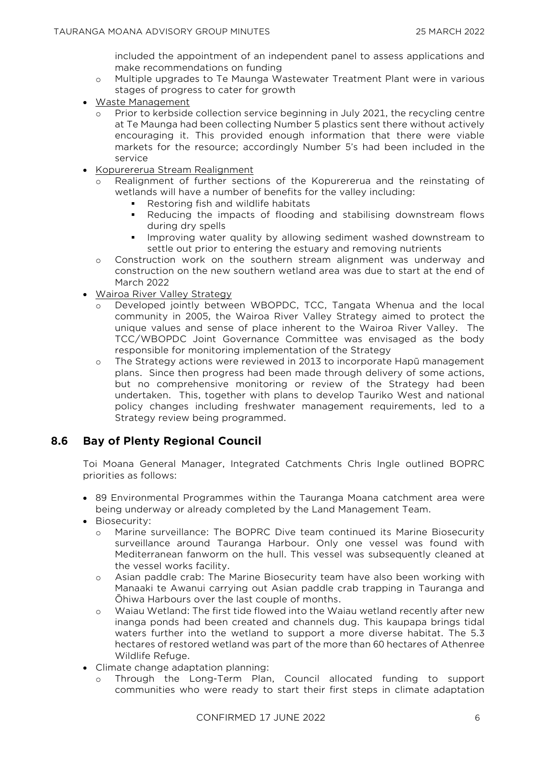included the appointment of an independent panel to assess applications and make recommendations on funding

- o Multiple upgrades to Te Maunga Wastewater Treatment Plant were in various stages of progress to cater for growth
- Waste Management
	- Prior to kerbside collection service beginning in July 2021, the recycling centre at Te Maunga had been collecting Number 5 plastics sent there without actively encouraging it. This provided enough information that there were viable markets for the resource; accordingly Number 5's had been included in the service
- Kopurererua Stream Realignment
	- Realignment of further sections of the Kopurererua and the reinstating of wetlands will have a number of benefits for the valley including:
		- Restoring fish and wildlife habitats
		- **•** Reducing the impacts of flooding and stabilising downstream flows during dry spells
		- Improving water quality by allowing sediment washed downstream to settle out prior to entering the estuary and removing nutrients
	- o Construction work on the southern stream alignment was underway and construction on the new southern wetland area was due to start at the end of March 2022
- Wairoa River Valley Strategy
	- o Developed jointly between WBOPDC, TCC, Tangata Whenua and the local community in 2005, the Wairoa River Valley Strategy aimed to protect the unique values and sense of place inherent to the Wairoa River Valley. The TCC/WBOPDC Joint Governance Committee was envisaged as the body responsible for monitoring implementation of the Strategy
	- o The Strategy actions were reviewed in 2013 to incorporate Hapū management plans. Since then progress had been made through delivery of some actions, but no comprehensive monitoring or review of the Strategy had been undertaken. This, together with plans to develop Tauriko West and national policy changes including freshwater management requirements, led to a Strategy review being programmed.

# **8.6 Bay of Plenty Regional Council**

Toi Moana General Manager, Integrated Catchments Chris Ingle outlined BOPRC priorities as follows:

- 89 Environmental Programmes within the Tauranga Moana catchment area were being underway or already completed by the Land Management Team.
- Biosecurity:
	- o Marine surveillance: The BOPRC Dive team continued its Marine Biosecurity surveillance around Tauranga Harbour. Only one vessel was found with Mediterranean fanworm on the hull. This vessel was subsequently cleaned at the vessel works facility.
	- o Asian paddle crab: The Marine Biosecurity team have also been working with Manaaki te Awanui carrying out Asian paddle crab trapping in Tauranga and Ōhiwa Harbours over the last couple of months.
	- o Waiau Wetland: The first tide flowed into the Waiau wetland recently after new inanga ponds had been created and channels dug. This kaupapa brings tidal waters further into the wetland to support a more diverse habitat. The 5.3 hectares of restored wetland was part of the more than 60 hectares of Athenree Wildlife Refuge.
- Climate change adaptation planning:
	- o Through the Long-Term Plan, Council allocated funding to support communities who were ready to start their first steps in climate adaptation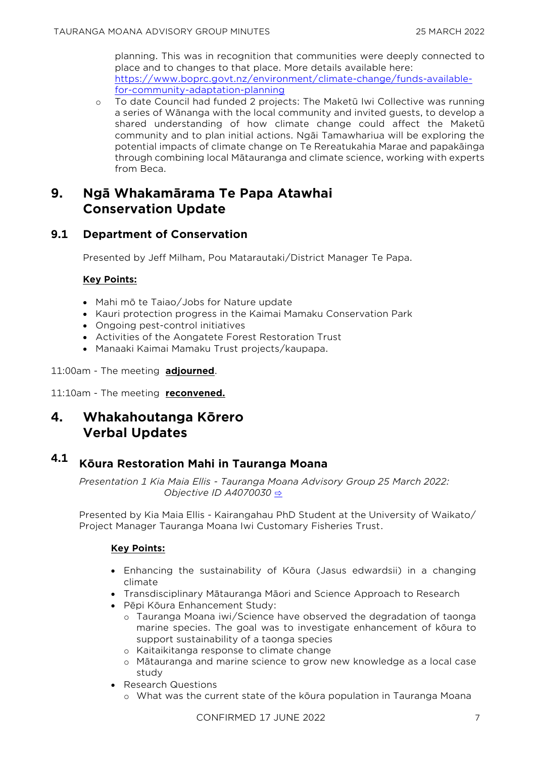planning. This was in recognition that communities were deeply connected to place and to changes to that place. More details available here: [https://www.boprc.govt.nz/environment/climate-change/funds-available](https://www.boprc.govt.nz/environment/climate-change/funds-available-for-community-adaptation-planning)[for-community-adaptation-planning](https://www.boprc.govt.nz/environment/climate-change/funds-available-for-community-adaptation-planning)

o To date Council had funded 2 projects: The Maketū Iwi Collective was running a series of Wānanga with the local community and invited guests, to develop a shared understanding of how climate change could affect the Maketū community and to plan initial actions. Ngāi Tamawhariua will be exploring the potential impacts of climate change on Te Rereatukahia Marae and papakāinga through combining local Mātauranga and climate science, working with experts from Beca.

# **9. Ngā Whakamārama Te Papa Atawhai Conservation Update**

# **9.1 Department of Conservation**

Presented by Jeff Milham, Pou Matarautaki/District Manager Te Papa.

## **Key Points:**

- Mahi mō te Taiao/Jobs for Nature update
- Kauri protection progress in the Kaimai Mamaku Conservation Park
- Ongoing pest-control initiatives
- Activities of the Aongatete Forest Restoration Trust
- Manaaki Kaimai Mamaku Trust projects/kaupapa.

11:00am - The meeting **adjourned**.

11:10am - The meeting **reconvened.** 

# **4. Whakahoutanga Kōrero Verbal Updates**

# **4.1 Kōura Restoration Mahi in Tauranga Moana**

*Presentation 1 Kia Maia Ellis - Tauranga Moana Advisory Group 25 March 2022: Objective ID A4070030* [⇨](../../../RedirectToInvalidFileName.aspx?FileName=TMAG_20220325_MAT_3485.PDF#PAGE=2)

Presented by Kia Maia Ellis - Kairangahau PhD Student at the University of Waikato/ Project Manager Tauranga Moana Iwi Customary Fisheries Trust.

## **Key Points:**

- Enhancing the sustainability of Kōura (Jasus edwardsii) in a changing climate
- Transdisciplinary Mātauranga Māori and Science Approach to Research
- Pēpi Kōura Enhancement Study:
	- o Tauranga Moana iwi/Science have observed the degradation of taonga marine species. The goal was to investigate enhancement of kōura to support sustainability of a taonga species
	- o Kaitaikitanga response to climate change
	- o Mātauranga and marine science to grow new knowledge as a local case study
- Research Questions
	- o What was the current state of the kōura population in Tauranga Moana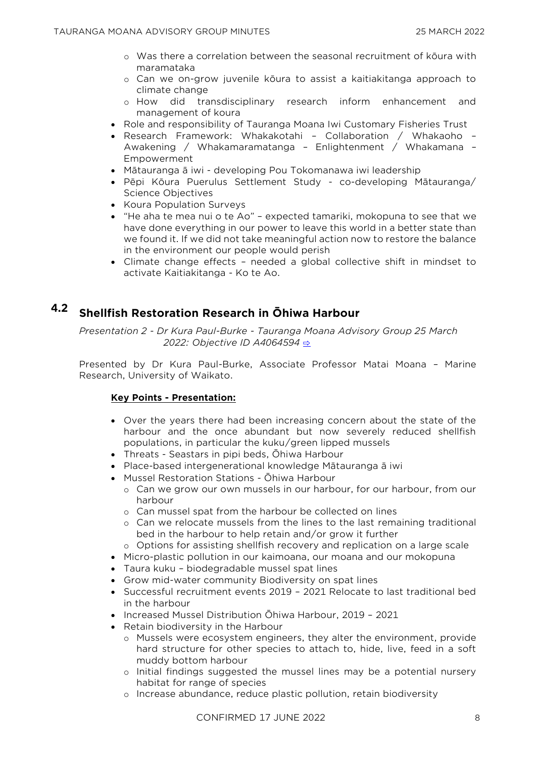- o Was there a correlation between the seasonal recruitment of kōura with maramataka
- o Can we on-grow juvenile kōura to assist a kaitiakitanga approach to climate change
- o How did transdisciplinary research inform enhancement and management of koura
- Role and responsibility of Tauranga Moana Iwi Customary Fisheries Trust
- Research Framework: Whakakotahi Collaboration / Whakaoho Awakening / Whakamaramatanga – Enlightenment / Whakamana – Empowerment
- Mātauranga ā iwi developing Pou Tokomanawa iwi leadership
- Pēpi Kōura Puerulus Settlement Study co-developing Mātauranga/ Science Objectives
- Koura Population Surveys
- "He aha te mea nui o te Ao" expected tamariki, mokopuna to see that we have done everything in our power to leave this world in a better state than we found it. If we did not take meaningful action now to restore the balance in the environment our people would perish
- Climate change effects needed a global collective shift in mindset to activate Kaitiakitanga - Ko te Ao.

# **4.2 Shellfish Restoration Research in Ōhiwa Harbour**

*Presentation 2 - Dr Kura Paul-Burke - Tauranga Moana Advisory Group 25 March 2022: Objective ID A4064594* [⇨](../../../RedirectToInvalidFileName.aspx?FileName=TMAG_20220325_MAT_3485.PDF#PAGE=16)

Presented by Dr Kura Paul-Burke, Associate Professor Matai Moana – Marine Research, University of Waikato.

#### **Key Points - Presentation:**

- Over the years there had been increasing concern about the state of the harbour and the once abundant but now severely reduced shellfish populations, in particular the kuku/green lipped mussels
- Threats Seastars in pipi beds, Ōhiwa Harbour
- Place-based intergenerational knowledge Mātauranga ā iwi
- Mussel Restoration Stations Ōhiwa Harbour
	- o Can we grow our own mussels in our harbour, for our harbour, from our harbour
	- o Can mussel spat from the harbour be collected on lines
	- o Can we relocate mussels from the lines to the last remaining traditional bed in the harbour to help retain and/or grow it further
	- o Options for assisting shellfish recovery and replication on a large scale
- Micro-plastic pollution in our kaimoana, our moana and our mokopuna
- Taura kuku biodegradable mussel spat lines
- Grow mid-water community Biodiversity on spat lines
- Successful recruitment events 2019 2021 Relocate to last traditional bed in the harbour
- Increased Mussel Distribution Ōhiwa Harbour, 2019 2021
- Retain biodiversity in the Harbour
	- o Mussels were ecosystem engineers, they alter the environment, provide hard structure for other species to attach to, hide, live, feed in a soft muddy bottom harbour
	- o Initial findings suggested the mussel lines may be a potential nursery habitat for range of species
	- o Increase abundance, reduce plastic pollution, retain biodiversity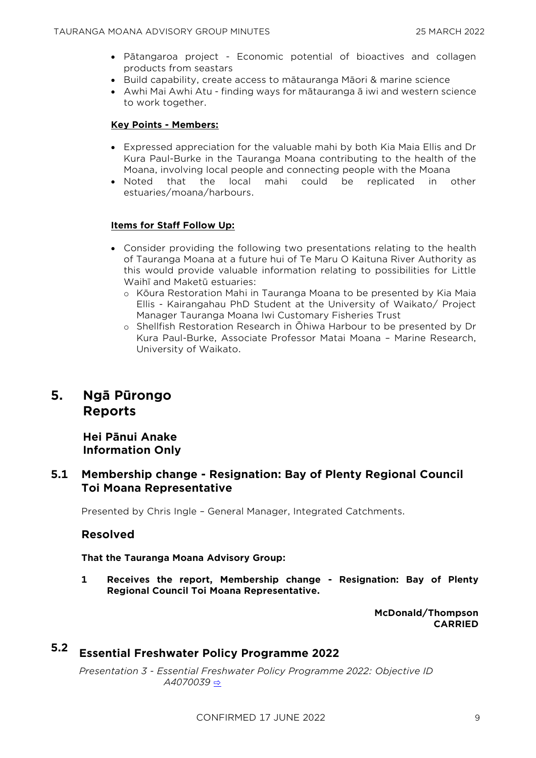- Pātangaroa project Economic potential of bioactives and collagen products from seastars
- Build capability, create access to mātauranga Māori & marine science
- Awhi Mai Awhi Atu finding ways for mātauranga ā iwi and western science to work together.

#### **Key Points - Members:**

- Expressed appreciation for the valuable mahi by both Kia Maia Ellis and Dr Kura Paul-Burke in the Tauranga Moana contributing to the health of the Moana, involving local people and connecting people with the Moana
- Noted that the local mahi could be replicated in other estuaries/moana/harbours.

#### **Items for Staff Follow Up:**

- Consider providing the following two presentations relating to the health of Tauranga Moana at a future hui of Te Maru O Kaituna River Authority as this would provide valuable information relating to possibilities for Little Waihī and Maketū estuaries:
	- o Kōura Restoration Mahi in Tauranga Moana to be presented by Kia Maia Ellis - Kairangahau PhD Student at the University of Waikato/ Project Manager Tauranga Moana Iwi Customary Fisheries Trust
	- o Shellfish Restoration Research in Ōhiwa Harbour to be presented by Dr Kura Paul-Burke, Associate Professor Matai Moana – Marine Research, University of Waikato.

# **5. Ngā Pūrongo Reports**

**Hei Pānui Anake Information Only**

## **5.1 Membership change - Resignation: Bay of Plenty Regional Council Toi Moana Representative**

Presented by Chris Ingle – General Manager, Integrated Catchments.

## **Resolved**

**That the Tauranga Moana Advisory Group:**

**1 Receives the report, Membership change - Resignation: Bay of Plenty Regional Council Toi Moana Representative.**

> **McDonald/Thompson CARRIED**

# **5.2 Essential Freshwater Policy Programme 2022**

*Presentation 3 - Essential Freshwater Policy Programme 2022: Objective ID A4070039* [⇨](../../../RedirectToInvalidFileName.aspx?FileName=TMAG_20220325_MAT_3485.PDF#PAGE=32)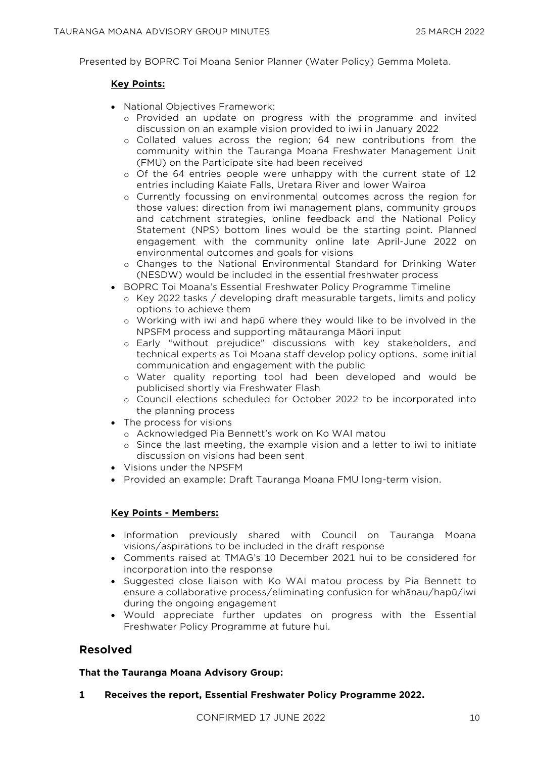Presented by BOPRC Toi Moana Senior Planner (Water Policy) Gemma Moleta.

#### **Key Points:**

- National Objectives Framework:
	- o Provided an update on progress with the programme and invited discussion on an example vision provided to iwi in January 2022
	- o Collated values across the region; 64 new contributions from the community within the Tauranga Moana Freshwater Management Unit (FMU) on the Participate site had been received
	- $\circ$  Of the 64 entries people were unhappy with the current state of 12 entries including Kaiate Falls, Uretara River and lower Wairoa
	- o Currently focussing on environmental outcomes across the region for those values: direction from iwi management plans, community groups and catchment strategies, online feedback and the National Policy Statement (NPS) bottom lines would be the starting point. Planned engagement with the community online late April-June 2022 on environmental outcomes and goals for visions
	- o Changes to the National Environmental Standard for Drinking Water (NESDW) would be included in the essential freshwater process
- BOPRC Toi Moana's Essential Freshwater Policy Programme Timeline
	- o Key 2022 tasks / developing draft measurable targets, limits and policy options to achieve them
	- o Working with iwi and hapū where they would like to be involved in the NPSFM process and supporting mātauranga Māori input
	- o Early "without prejudice" discussions with key stakeholders, and technical experts as Toi Moana staff develop policy options, some initial communication and engagement with the public
	- o Water quality reporting tool had been developed and would be publicised shortly via Freshwater Flash
	- o Council elections scheduled for October 2022 to be incorporated into the planning process
- The process for visions
	- o Acknowledged Pia Bennett's work on Ko WAI matou
	- o Since the last meeting, the example vision and a letter to iwi to initiate discussion on visions had been sent
- Visions under the NPSFM
- Provided an example: Draft Tauranga Moana FMU long-term vision.

## **Key Points - Members:**

- Information previously shared with Council on Tauranga Moana visions/aspirations to be included in the draft response
- Comments raised at TMAG's 10 December 2021 hui to be considered for incorporation into the response
- Suggested close liaison with Ko WAI matou process by Pia Bennett to ensure a collaborative process/eliminating confusion for whānau/hapū/iwi during the ongoing engagement
- Would appreciate further updates on progress with the Essential Freshwater Policy Programme at future hui.

# **Resolved**

#### **That the Tauranga Moana Advisory Group:**

**1 Receives the report, Essential Freshwater Policy Programme 2022.**